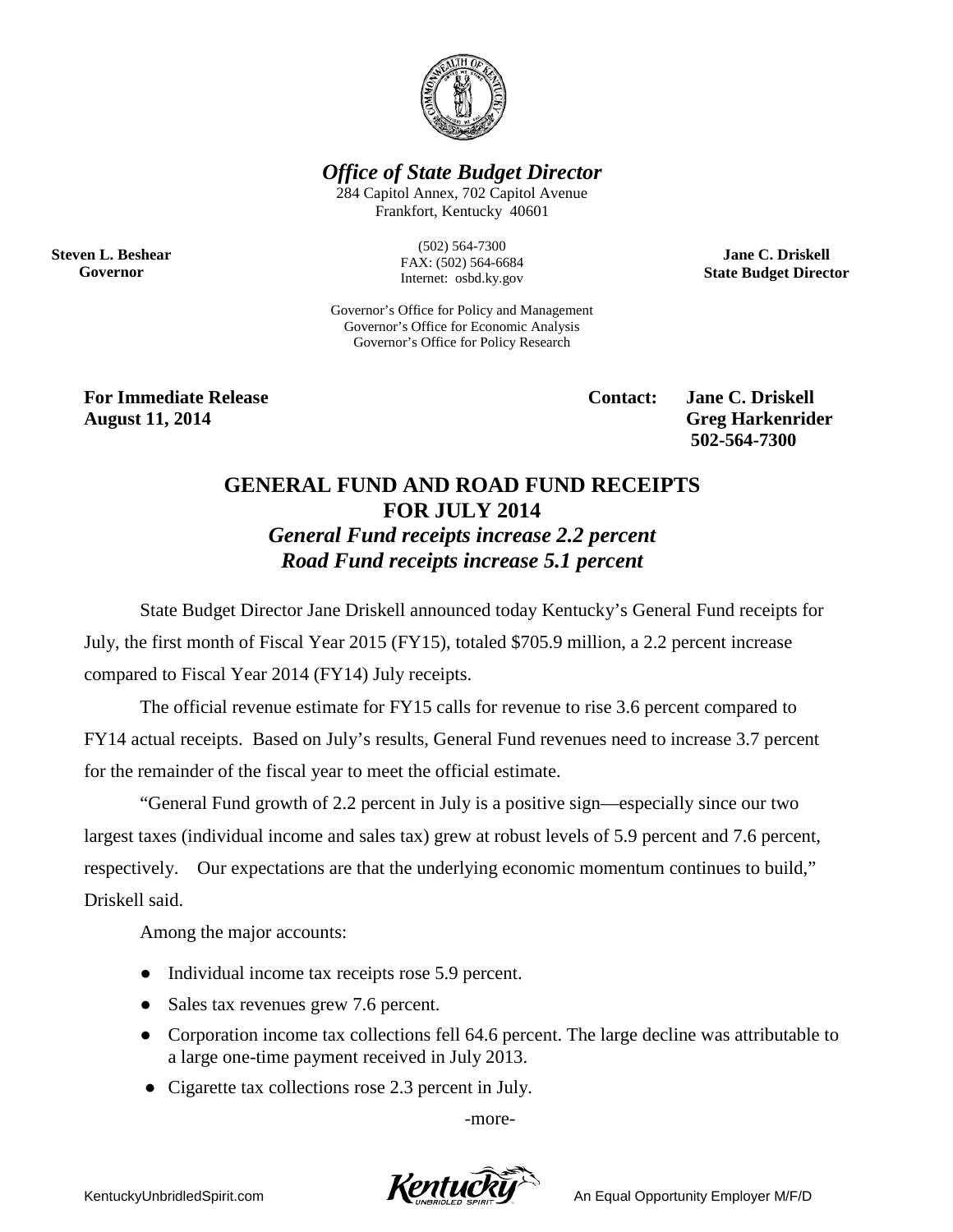

*Office of State Budget Director*

284 Capitol Annex, 702 Capitol Avenue Frankfort, Kentucky 40601

**Steven L. Beshear Governor**

(502) 564-7300 FAX: (502) 564-6684 Internet: osbd.ky.gov

Governor's Office for Policy and Management Governor's Office for Economic Analysis Governor's Office for Policy Research

**For Immediate Release Contact: Jane C. Driskell August 11, 2014** Greg Harkenrider

**502-564-7300** 

**Jane C. Driskell State Budget Director**

## **GENERAL FUND AND ROAD FUND RECEIPTS FOR JULY 2014** *General Fund receipts increase 2.2 percent Road Fund receipts increase 5.1 percent*

State Budget Director Jane Driskell announced today Kentucky's General Fund receipts for July, the first month of Fiscal Year 2015 (FY15), totaled \$705.9 million, a 2.2 percent increase compared to Fiscal Year 2014 (FY14) July receipts.

The official revenue estimate for FY15 calls for revenue to rise 3.6 percent compared to FY14 actual receipts. Based on July's results, General Fund revenues need to increase 3.7 percent for the remainder of the fiscal year to meet the official estimate.

"General Fund growth of 2.2 percent in July is a positive sign—especially since our two largest taxes (individual income and sales tax) grew at robust levels of 5.9 percent and 7.6 percent, respectively. Our expectations are that the underlying economic momentum continues to build," Driskell said.

Among the major accounts:

- Individual income tax receipts rose 5.9 percent.
- Sales tax revenues grew 7.6 percent.
- Corporation income tax collections fell 64.6 percent. The large decline was attributable to a large one-time payment received in July 2013.
- Cigarette tax collections rose 2.3 percent in July.

-more-

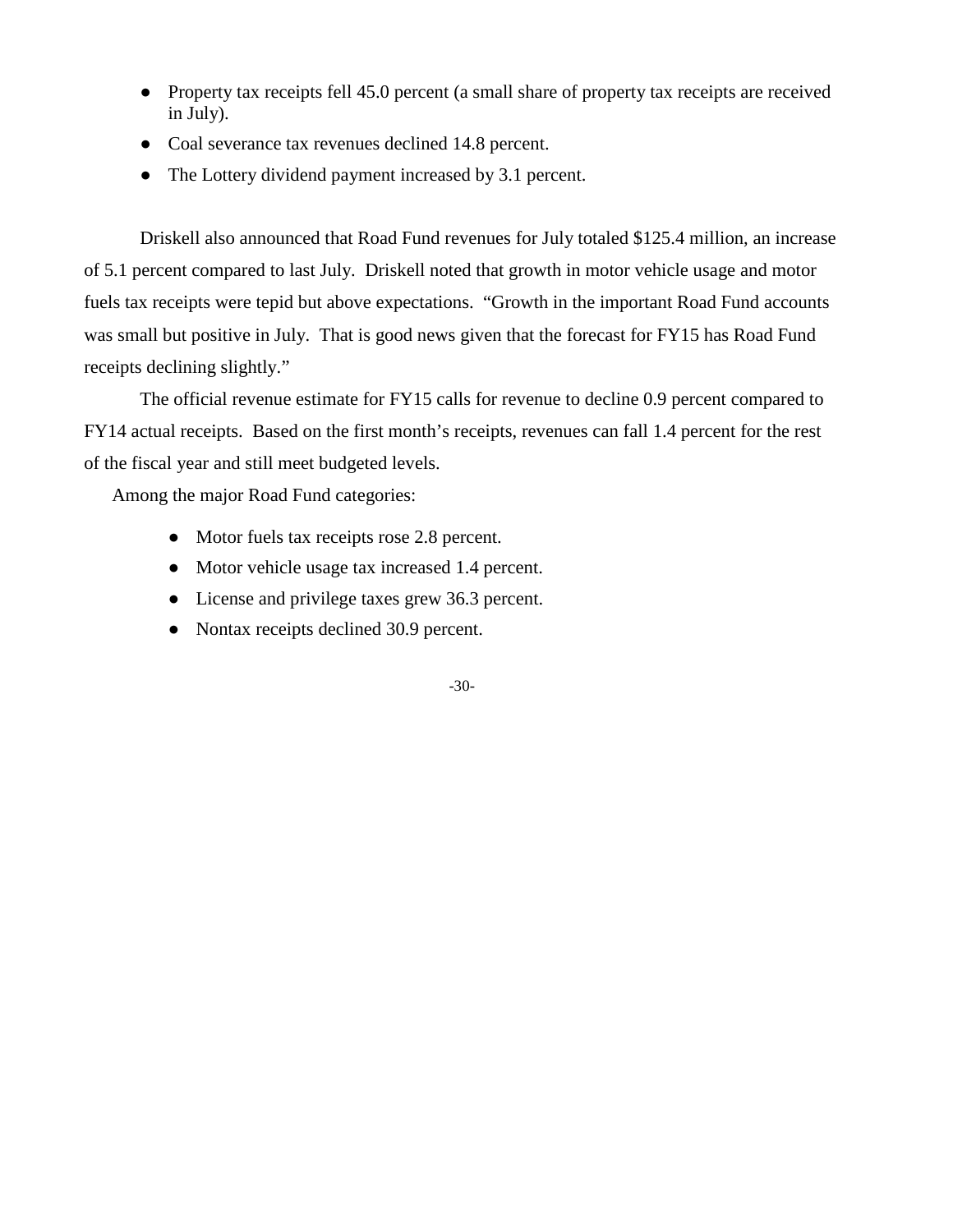- Property tax receipts fell 45.0 percent (a small share of property tax receipts are received in July).
- Coal severance tax revenues declined 14.8 percent.
- The Lottery dividend payment increased by 3.1 percent.

Driskell also announced that Road Fund revenues for July totaled \$125.4 million, an increase of 5.1 percent compared to last July. Driskell noted that growth in motor vehicle usage and motor fuels tax receipts were tepid but above expectations. "Growth in the important Road Fund accounts was small but positive in July. That is good news given that the forecast for FY15 has Road Fund receipts declining slightly."

The official revenue estimate for FY15 calls for revenue to decline 0.9 percent compared to FY14 actual receipts. Based on the first month's receipts, revenues can fall 1.4 percent for the rest of the fiscal year and still meet budgeted levels.

Among the major Road Fund categories:

- Motor fuels tax receipts rose 2.8 percent.
- Motor vehicle usage tax increased 1.4 percent.
- License and privilege taxes grew 36.3 percent.
- Nontax receipts declined 30.9 percent.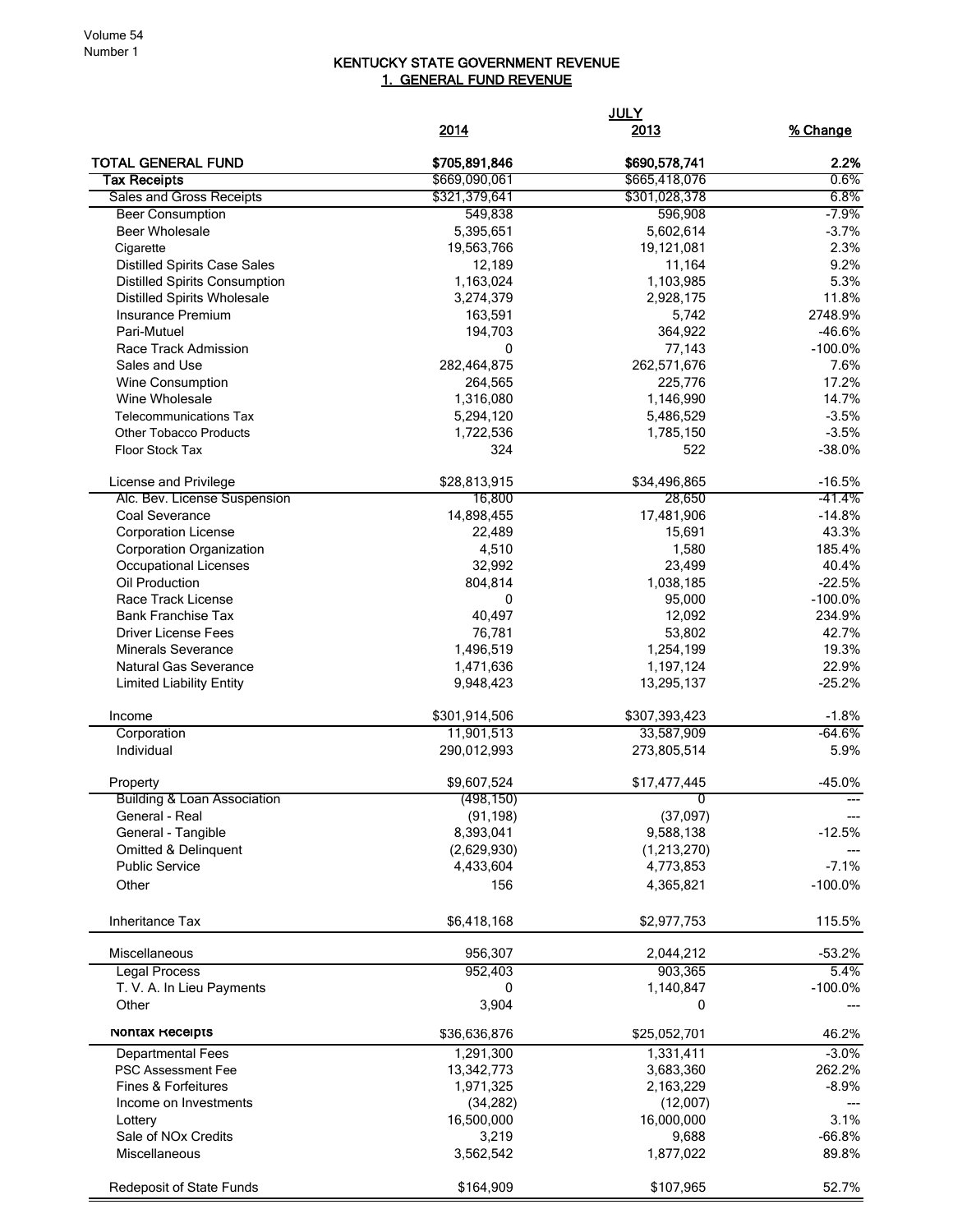## KENTUCKY STATE GOVERNMENT REVENUE 1. GENERAL FUND REVENUE

|                                        |                           | <b>JULY</b>               |                  |
|----------------------------------------|---------------------------|---------------------------|------------------|
|                                        | 2014                      | <u>2013</u>               | % Change         |
| <b>TOTAL GENERAL FUND</b>              | \$705,891,846             | \$690,578,741             | 2.2%             |
| Tax Receipts                           | \$669,090,061             | \$665,418,076             | 0.6%             |
| Sales and Gross Receipts               | \$321,379,641             | \$301,028,378             | 6.8%             |
| <b>Beer Consumption</b>                | 549,838                   | 596,908                   | $-7.9%$          |
| <b>Beer Wholesale</b>                  | 5,395,651                 | 5,602,614                 | $-3.7%$          |
| Cigarette                              | 19,563,766                | 19,121,081                | 2.3%             |
| <b>Distilled Spirits Case Sales</b>    | 12,189                    | 11,164                    | 9.2%             |
| <b>Distilled Spirits Consumption</b>   | 1,163,024                 | 1,103,985                 | 5.3%             |
| <b>Distilled Spirits Wholesale</b>     | 3,274,379                 | 2,928,175                 | 11.8%            |
| Insurance Premium                      | 163,591                   | 5,742                     | 2748.9%          |
| Pari-Mutuel                            | 194,703                   | 364,922                   | $-46.6%$         |
| Race Track Admission                   | 0                         | 77,143                    | $-100.0%$        |
| Sales and Use                          | 282,464,875               | 262,571,676               | 7.6%<br>17.2%    |
| Wine Consumption<br>Wine Wholesale     | 264,565                   | 225,776                   | 14.7%            |
| <b>Telecommunications Tax</b>          | 1,316,080                 | 1,146,990<br>5,486,529    | $-3.5%$          |
| <b>Other Tobacco Products</b>          | 5,294,120<br>1,722,536    | 1,785,150                 | $-3.5%$          |
| Floor Stock Tax                        | 324                       | 522                       | $-38.0%$         |
|                                        |                           |                           |                  |
| License and Privilege                  | \$28,813,915              | \$34,496,865              | $-16.5%$         |
| Alc. Bev. License Suspension           | 16,800                    | 28,650                    | -41.4%           |
| Coal Severance                         | 14,898,455                | 17,481,906                | $-14.8%$         |
| <b>Corporation License</b>             | 22,489                    | 15,691                    | 43.3%            |
| Corporation Organization               | 4,510                     | 1,580                     | 185.4%           |
| <b>Occupational Licenses</b>           | 32,992                    | 23,499                    | 40.4%            |
| Oil Production                         | 804,814                   | 1,038,185                 | $-22.5%$         |
| Race Track License                     | 0                         | 95,000                    | $-100.0%$        |
| <b>Bank Franchise Tax</b>              | 40,497                    | 12,092                    | 234.9%           |
| <b>Driver License Fees</b>             | 76,781                    | 53,802                    | 42.7%            |
| <b>Minerals Severance</b>              | 1,496,519                 | 1,254,199                 | 19.3%            |
| <b>Natural Gas Severance</b>           | 1,471,636                 | 1,197,124                 | 22.9%            |
| <b>Limited Liability Entity</b>        | 9,948,423                 | 13,295,137                | $-25.2%$         |
| Income                                 | \$301,914,506             | \$307,393,423             | $-1.8%$          |
| Corporation                            | 11,901,513                | 33,587,909                | $-64.6%$         |
| Individual                             | 290,012,993               | 273,805,514               | 5.9%             |
| Property                               | \$9,607,524               | \$17,477,445              | $-45.0%$         |
| <b>Building &amp; Loan Association</b> | (498, 150)                |                           |                  |
| General - Real                         | (91, 198)                 | (37,097)                  |                  |
| General - Tangible                     | 8,393,041                 | 9,588,138                 | $-12.5%$         |
| Omitted & Delinquent                   | (2,629,930)               | (1,213,270)               |                  |
| <b>Public Service</b>                  | 4,433,604                 | 4,773,853                 | $-7.1%$          |
| Other                                  | 156                       | 4,365,821                 | $-100.0%$        |
| Inheritance Tax                        | \$6,418,168               | \$2,977,753               | 115.5%           |
| Miscellaneous                          | 956,307                   | 2,044,212                 | $-53.2%$         |
| <b>Legal Process</b>                   | 952,403                   | 903,365                   | 5.4%             |
| T. V. A. In Lieu Payments              | 0                         | 1,140,847                 | $-100.0\%$       |
| Other                                  | 3,904                     | 0                         |                  |
| Nontax Receipts                        |                           |                           |                  |
| <b>Departmental Fees</b>               | \$36,636,876<br>1,291,300 | \$25,052,701<br>1,331,411 | 46.2%<br>$-3.0%$ |
| PSC Assessment Fee                     | 13,342,773                | 3,683,360                 | 262.2%           |
| <b>Fines &amp; Forfeitures</b>         | 1,971,325                 | 2,163,229                 | $-8.9%$          |
| Income on Investments                  | (34, 282)                 | (12,007)                  |                  |
| Lottery                                | 16,500,000                | 16,000,000                | 3.1%             |
| Sale of NO <sub>x</sub> Credits        | 3,219                     | 9,688                     | $-66.8%$         |
| Miscellaneous                          | 3,562,542                 | 1,877,022                 | 89.8%            |
|                                        |                           |                           |                  |
| Redeposit of State Funds               | \$164,909                 | \$107,965                 | 52.7%            |